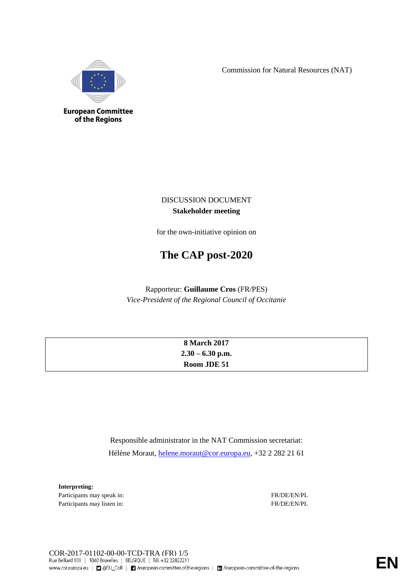Commission for Natural Resources (NAT)



**European Committee** of the Regions

> DISCUSSION DOCUMENT **Stakeholder meeting**

for the own-initiative opinion on

# **The CAP post-2020**

Rapporteur: **Guillaume Cros** (FR/PES) *Vice-President of the Regional Council of Occitanie*

| <b>8 March 2017</b> |
|---------------------|
| $2.30 - 6.30$ p.m.  |
| Room JDE 51         |

Responsible administrator in the NAT Commission secretariat: Hélène Moraut, [helene.moraut@cor.europa.eu,](mailto:helene.moraut@cor.europa.eu) +32 2 282 21 61

**Interpreting:** Participants may speak in: FR/DE/EN/PL Participants may listen in: FR/DE/EN/PL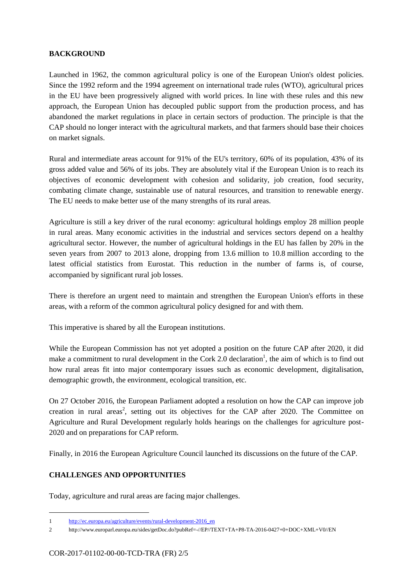#### **BACKGROUND**

Launched in 1962, the common agricultural policy is one of the European Union's oldest policies. Since the 1992 reform and the 1994 agreement on international trade rules (WTO), agricultural prices in the EU have been progressively aligned with world prices. In line with these rules and this new approach, the European Union has decoupled public support from the production process, and has abandoned the market regulations in place in certain sectors of production. The principle is that the CAP should no longer interact with the agricultural markets, and that farmers should base their choices on market signals.

Rural and intermediate areas account for 91% of the EU's territory, 60% of its population, 43% of its gross added value and 56% of its jobs. They are absolutely vital if the European Union is to reach its objectives of economic development with cohesion and solidarity, job creation, food security, combating climate change, sustainable use of natural resources, and transition to renewable energy. The EU needs to make better use of the many strengths of its rural areas.

Agriculture is still a key driver of the rural economy: agricultural holdings employ 28 million people in rural areas. Many economic activities in the industrial and services sectors depend on a healthy agricultural sector. However, the number of agricultural holdings in the EU has fallen by 20% in the seven years from 2007 to 2013 alone, dropping from 13.6 million to 10.8 million according to the latest official statistics from Eurostat. This reduction in the number of farms is, of course, accompanied by significant rural job losses.

There is therefore an urgent need to maintain and strengthen the European Union's efforts in these areas, with a reform of the common agricultural policy designed for and with them.

This imperative is shared by all the European institutions.

While the European Commission has not yet adopted a position on the future CAP after 2020, it did make a commitment to rural development in the Cork 2.0 declaration<sup>1</sup>, the aim of which is to find out how rural areas fit into major contemporary issues such as economic development, digitalisation, demographic growth, the environment, ecological transition, etc.

On 27 October 2016, the European Parliament adopted a resolution on how the CAP can improve job creation in rural areas<sup>2</sup>, setting out its objectives for the CAP after 2020. The Committee on Agriculture and Rural Development regularly holds hearings on the challenges for agriculture post-2020 and on preparations for CAP reform.

Finally, in 2016 the European Agriculture Council launched its discussions on the future of the CAP.

# **CHALLENGES AND OPPORTUNITIES**

-

Today, agriculture and rural areas are facing major challenges.

<sup>1</sup> [http://ec.europa.eu/agriculture/events/rural-development-2016\\_en](http://ec.europa.eu/agriculture/events/rural-development-2016_en)

<sup>2</sup> <http://www.europarl.europa.eu/sides/getDoc.do?pubRef=-//EP//TEXT+TA+P8-TA-2016-0427+0+DOC+XML+V0//EN>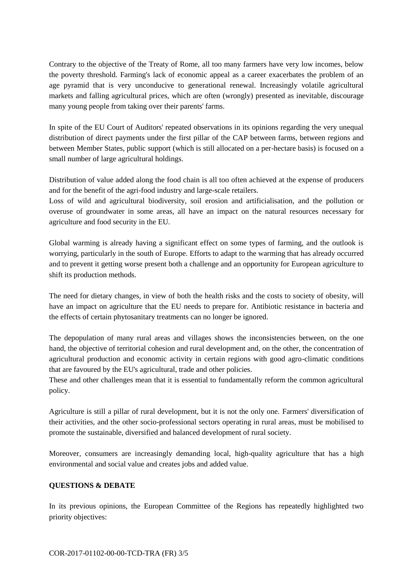Contrary to the objective of the Treaty of Rome, all too many farmers have very low incomes, below the poverty threshold. Farming's lack of economic appeal as a career exacerbates the problem of an age pyramid that is very unconducive to generational renewal. Increasingly volatile agricultural markets and falling agricultural prices, which are often (wrongly) presented as inevitable, discourage many young people from taking over their parents' farms.

In spite of the EU Court of Auditors' repeated observations in its opinions regarding the very unequal distribution of direct payments under the first pillar of the CAP between farms, between regions and between Member States, public support (which is still allocated on a per-hectare basis) is focused on a small number of large agricultural holdings.

Distribution of value added along the food chain is all too often achieved at the expense of producers and for the benefit of the agri-food industry and large-scale retailers.

Loss of wild and agricultural biodiversity, soil erosion and artificialisation, and the pollution or overuse of groundwater in some areas, all have an impact on the natural resources necessary for agriculture and food security in the EU.

Global warming is already having a significant effect on some types of farming, and the outlook is worrying, particularly in the south of Europe. Efforts to adapt to the warming that has already occurred and to prevent it getting worse present both a challenge and an opportunity for European agriculture to shift its production methods.

The need for dietary changes, in view of both the health risks and the costs to society of obesity, will have an impact on agriculture that the EU needs to prepare for. Antibiotic resistance in bacteria and the effects of certain phytosanitary treatments can no longer be ignored.

The depopulation of many rural areas and villages shows the inconsistencies between, on the one hand, the objective of territorial cohesion and rural development and, on the other, the concentration of agricultural production and economic activity in certain regions with good agro-climatic conditions that are favoured by the EU's agricultural, trade and other policies.

These and other challenges mean that it is essential to fundamentally reform the common agricultural policy.

Agriculture is still a pillar of rural development, but it is not the only one. Farmers' diversification of their activities, and the other socio-professional sectors operating in rural areas, must be mobilised to promote the sustainable, diversified and balanced development of rural society.

Moreover, consumers are increasingly demanding local, high-quality agriculture that has a high environmental and social value and creates jobs and added value.

#### **QUESTIONS & DEBATE**

In its previous opinions, the European Committee of the Regions has repeatedly highlighted two priority objectives: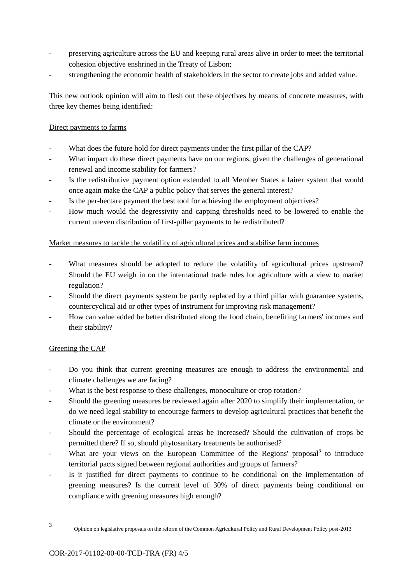- preserving agriculture across the EU and keeping rural areas alive in order to meet the territorial cohesion objective enshrined in the Treaty of Lisbon;
- strengthening the economic health of stakeholders in the sector to create jobs and added value.

This new outlook opinion will aim to flesh out these objectives by means of concrete measures, with three key themes being identified:

## Direct payments to farms

- What does the future hold for direct payments under the first pillar of the CAP?
- What impact do these direct payments have on our regions, given the challenges of generational renewal and income stability for farmers?
- Is the redistributive payment option extended to all Member States a fairer system that would once again make the CAP a public policy that serves the general interest?
- Is the per-hectare payment the best tool for achieving the employment objectives?
- How much would the degressivity and capping thresholds need to be lowered to enable the current uneven distribution of first-pillar payments to be redistributed?

## Market measures to tackle the volatility of agricultural prices and stabilise farm incomes

- What measures should be adopted to reduce the volatility of agricultural prices upstream? Should the EU weigh in on the international trade rules for agriculture with a view to market regulation?
- Should the direct payments system be partly replaced by a third pillar with guarantee systems, countercyclical aid or other types of instrument for improving risk management?
- How can value added be better distributed along the food chain, benefiting farmers' incomes and their stability?

# Greening the CAP

- Do you think that current greening measures are enough to address the environmental and climate challenges we are facing?
- What is the best response to these challenges, monoculture or crop rotation?
- Should the greening measures be reviewed again after 2020 to simplify their implementation, or do we need legal stability to encourage farmers to develop agricultural practices that benefit the climate or the environment?
- Should the percentage of ecological areas be increased? Should the cultivation of crops be permitted there? If so, should phytosanitary treatments be authorised?
- What are your views on the European Committee of the Regions' proposal<sup>3</sup> to introduce territorial pacts signed between regional authorities and groups of farmers?
- Is it justified for direct payments to continue to be conditional on the implementation of greening measures? Is the current level of 30% of direct payments being conditional on compliance with greening measures high enough?

<sup>-</sup>3

Opinion on legislative proposals on the reform of the Common Agricultural Policy and Rural Development Policy post-2013